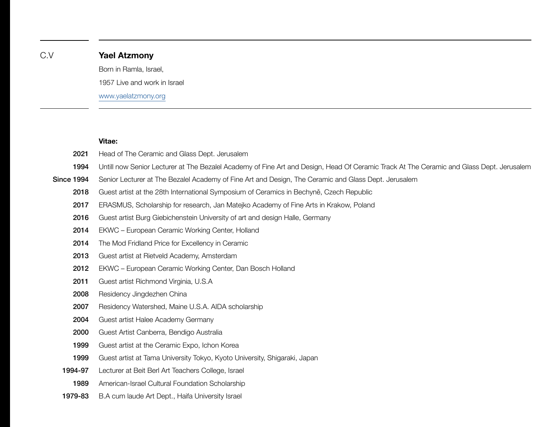# C.V **Yael Atzmony** Born in Ramla, Israel, 1957 Live and work in Israel

[www.yaelatzmony.org](http://www.yaelatzmony.org)

## **Vitae:**

| 2021              | Head of The Ceramic and Glass Dept. Jerusalem                                                                                            |
|-------------------|------------------------------------------------------------------------------------------------------------------------------------------|
| 1994              | Untill now Senior Lecturer at The Bezalel Academy of Fine Art and Design, Head Of Ceramic Track At The Ceramic and Glass Dept. Jerusalem |
| <b>Since 1994</b> | Senior Lecturer at The Bezalel Academy of Fine Art and Design, The Ceramic and Glass Dept. Jerusalem                                     |
| 2018              | Guest artist at the 28th International Symposium of Ceramics in Bechyně, Czech Republic                                                  |
| 2017              | ERASMUS, Scholarship for research, Jan Matejko Academy of Fine Arts in Krakow, Poland                                                    |
| 2016              | Guest artist Burg Giebichenstein University of art and design Halle, Germany                                                             |
| 2014              | EKWC - European Ceramic Working Center, Holland                                                                                          |
| 2014              | The Mod Fridland Price for Excellency in Ceramic                                                                                         |
| 2013              | Guest artist at Rietveld Academy, Amsterdam                                                                                              |
| 2012              | EKWC - European Ceramic Working Center, Dan Bosch Holland                                                                                |
| 2011              | Guest artist Richmond Virginia, U.S.A                                                                                                    |
| 2008              | Residency Jingdezhen China                                                                                                               |
| 2007              | Residency Watershed, Maine U.S.A. AIDA scholarship                                                                                       |
| 2004              | Guest artist Halee Academy Germany                                                                                                       |
| 2000              | Guest Artist Canberra, Bendigo Australia                                                                                                 |
| 1999              | Guest artist at the Ceramic Expo, Ichon Korea                                                                                            |
| 1999              | Guest artist at Tama University Tokyo, Kyoto University, Shigaraki, Japan                                                                |
| 1994-97           | Lecturer at Beit Berl Art Teachers College, Israel                                                                                       |
| 1989              | American-Israel Cultural Foundation Scholarship                                                                                          |
| 1979-83           | B.A cum laude Art Dept., Haifa University Israel                                                                                         |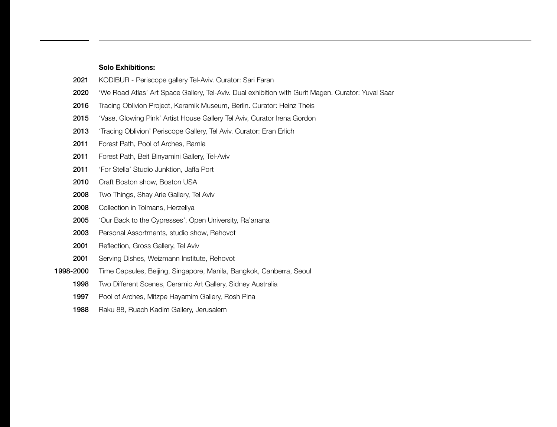### **Solo Exhibitions:**

- KODIBUR Periscope gallery Tel-Aviv. Curator: Sari Faran 2021
- 'We Road Atlas' Art Space Gallery, Tel-Aviv. Dual exhibition with Gurit Magen. Curator: Yuval Saar 2020
- Tracing Oblivion Project, Keramik Museum, Berlin. Curator: Heinz Theis 2016
- 'Vase, Glowing Pink' Artist House Gallery Tel Aviv, Curator Irena Gordon 2015
- 'Tracing Oblivion' Periscope Gallery, Tel Aviv. Curator: Eran Erlich 2013
- Forest Path, Pool of Arches, Ramla 2011
- Forest Path, Beit Binyamini Gallery, Tel-Aviv 2011
- 'For Stella' Studio Junktion, Jaffa Port 2011
- Craft Boston show, Boston USA 2010
- Two Things, Shay Arie Gallery, Tel Aviv 2008
- Collection in Tolmans, Herzeliya 2008
- 'Our Back to the Cypresses', Open University, Ra'anana 2005
- Personal Assortments, studio show, Rehovot 2003
- Reflection, Gross Gallery, Tel Aviv 2001
- Serving Dishes, Weizmann Institute, Rehovot 2001
- Time Capsules, Beijing, Singapore, Manila, Bangkok, Canberra, Seoul 1998-2000
	- Two Different Scenes, Ceramic Art Gallery, Sidney Australia 1998
	- Pool of Arches, Mitzpe Hayamim Gallery, Rosh Pina 1997
	- Raku 88, Ruach Kadim Gallery, Jerusalem 1988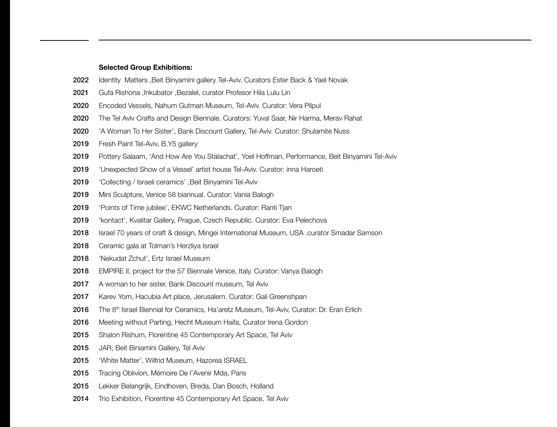#### **Selected Group Exhibitions:**

- Identity Matters ,Beit Binyamini gallery Tel-Aviv. Curators Ester Back & Yael Novak 2022
- Gufa Rishona ,Inkubator ,Bezalel, curator Profesor Hila Lulu Lin 2021
- Encoded Vessels, Nahum Gutman Museum, Tel-Aviv. Curator: Vera Pilpul 2020
- The Tel Aviv Crafts and Design Biennale. Curators: Yuval Saar, Nir Harma, Merav Rahat 2020
- 'A Woman To Her Sister', Bank Discount Gallery, Tel-Aviv. Curator: Shulamite Nuss 2020
- Fresh Paint Tel-Aviv, B.Y5 gallery 2019
- Pottery Salaam, 'And How Are You Stalachat', Yoel Hoffman, Performance, Beit Binyamini Tel-Aviv 2019
- 'Unexpected Show of a Vessel' artist house Tel-Aviv. Curator: inna Haroeti 2019
- 'Collecting / Israeli ceramics' ,Beit Binyamini Tel-Aviv 2019
- Mini Sculpture, Venice 58 biannual. Curator: Vania Balogh 2019
- 'Points of Time jubilee', EKWC Netherlands. Curator: Ranti Tjan 2019
- 'kontact', Kvalitar Gallery, Prague, Czech Republic. Curator: Eva Pelechova 2019
- Israel 70 years of craft & design, Mingei International Museum, USA .curator Smadar Samson 2018
- Ceramic gala at Tolman's Herzliya Israel 2018
- 'Nekudat Zchut', Ertz Israel Museum 2018
- EMPIRE II, project for the 57 Biennale Venice, Italy. Curator: Vanya Balogh 2018
- A woman to her sister, Bank Discount museum, Tel Aviv 2017
- Karev Yom, Hacubia Art place, Jerusalem. Curator: Gali Greenshpan 2017
- The 8<sup>th</sup> Israel Biennial for Ceramics, Ha'aretz Museum, Tel-Aviv, Curator: Dr. Eran Erlich 2016
- Meeting without Parting, Hecht Museum Haifa, Curator Irena Gordon 2016
- Shalon Rishum, Florentine 45 Contemporary Art Space, Tel Aviv 2015
- JAR, Beit Biniamini Gallery, Tel Aviv 2015
- 'White Matter', Wilfrid Museum, Hazorea ISRAEL 2015
- Tracing Oblivion, Mémoire De l'Avenir Mda, Paris 2015
- Lekker Belangrijk, Eindhoven, Breda, Dan Bosch, Holland 2015
- Trio Exhibition, Florentine 45 Contemporary Art Space, Tel Aviv 2014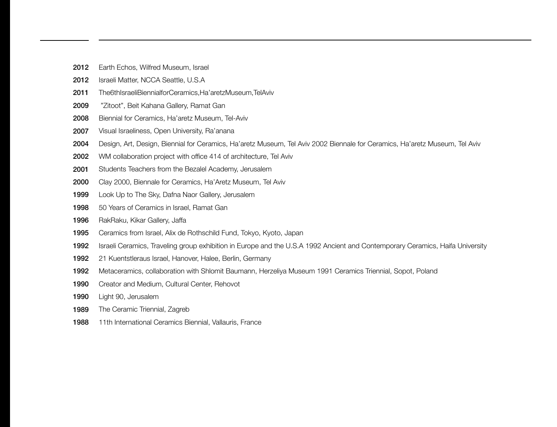- Earth Echos, Wilfred Museum, Israel 2012
- Israeli Matter, NCCA Seattle, U.S.A 2012
- The6thIsraeliBiennialforCeramics,Ha'aretzMuseum,TelAviv 2011
- "Zitoot", Beit Kahana Gallery, Ramat Gan 2009
- Biennial for Ceramics, Ha'aretz Museum, Tel-Aviv 2008
- Visual Israeliness, Open University, Ra'anana 2007
- Design, Art, Design, Biennial for Ceramics, Ha'aretz Museum, Tel Aviv 2002 Biennale for Ceramics, Ha'aretz Museum, Tel Aviv 2004
- WM collaboration project with office 414 of architecture, Tel Aviv 2002
- Students Teachers from the Bezalel Academy, Jerusalem 2001
- Clay 2000, Biennale for Ceramics, Ha'Aretz Museum, Tel Aviv 2000
- Look Up to The Sky, Dafna Naor Gallery, Jerusalem 1999
- 50 Years of Ceramics in Israel, Ramat Gan 1998
- RakRaku, Kikar Gallery, Jaffa 1996
- Ceramics from Israel, Alix de Rothschild Fund, Tokyo, Kyoto, Japan 1995
- Israeli Ceramics, Traveling group exhibition in Europe and the U.S.A 1992 Ancient and Contemporary Ceramics, Haifa University 1992
- 21 Kuentstleraus Israel, Hanover, Halee, Berlin, Germany 1992
- Metaceramics, collaboration with Shlomit Baumann, Herzeliya Museum 1991 Ceramics Triennial, Sopot, Poland 1992
- Creator and Medium, Cultural Center, Rehovot 1990
- Light 90, Jerusalem 1990
- The Ceramic Triennial, Zagreb 1989
- 11th International Ceramics Biennial, Vallauris, France 1988